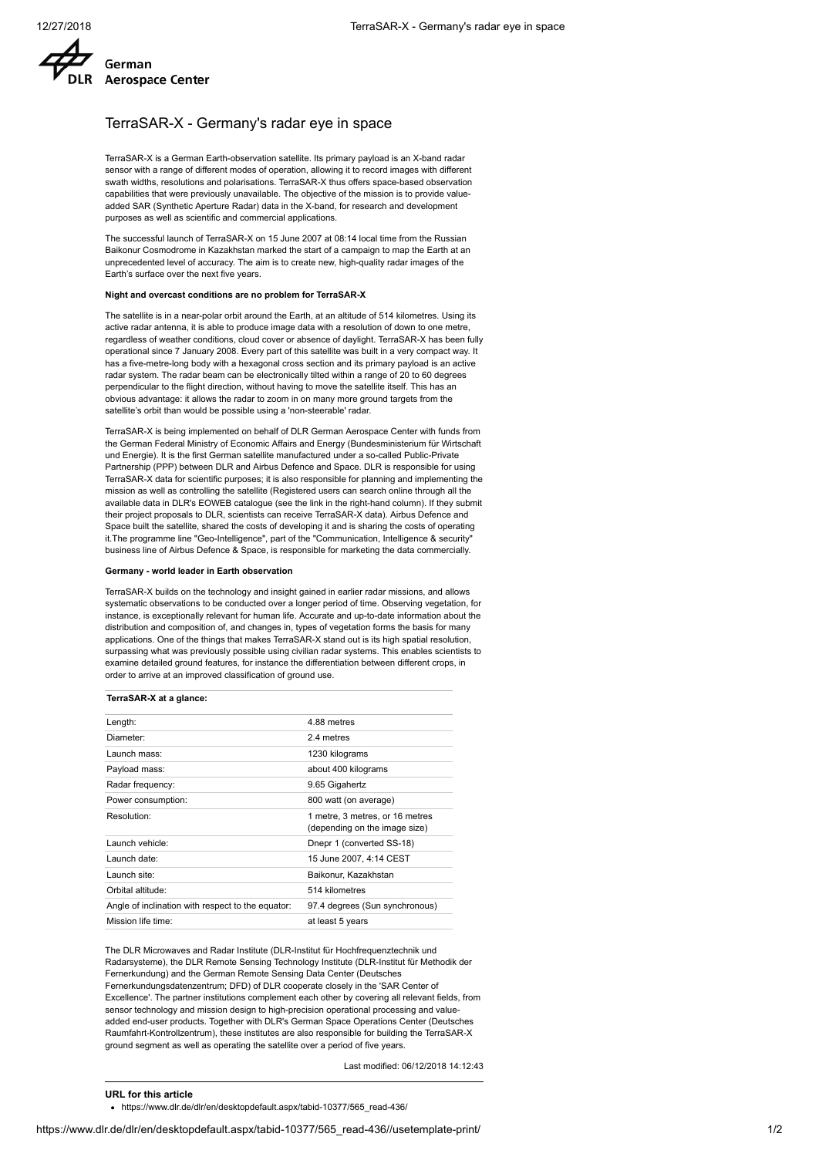

## TerraSAR-X - Germany's radar eye in space

TerraSAR-X is a German Earth-observation satellite. Its primary payload is an X-band radar sensor with a range of different modes of operation, allowing it to record images with different swath widths, resolutions and polarisations. TerraSAR-X thus offers space-based observation capabilities that were previously unavailable. The objective of the mission is to provide valueadded SAR (Synthetic Aperture Radar) data in the X-band, for research and development purposes as well as scientific and commercial applications.

The successful launch of TerraSAR-X on 15 June 2007 at 08:14 local time from the Russian Baikonur Cosmodrome in Kazakhstan marked the start of a campaign to map the Earth at an unprecedented level of accuracy. The aim is to create new, high-quality radar images of the Earth's surface over the next five years.

#### **Night and overcast conditions are no problem for TerraSAR-X**

The satellite is in a near-polar orbit around the Earth, at an altitude of 514 kilometres. Using its active radar antenna, it is able to produce image data with a resolution of down to one metre, regardless of weather conditions, cloud cover or absence of daylight. TerraSAR-X has been fully operational since 7 January 2008. Every part of this satellite was built in a very compact way. It has a five-metre-long body with a hexagonal cross section and its primary payload is an active radar system. The radar beam can be electronically tilted within a range of 20 to 60 degrees perpendicular to the flight direction, without having to move the satellite itself. This has an obvious advantage: it allows the radar to zoom in on many more ground targets from the satellite's orbit than would be possible using a 'non-steerable' radar.

TerraSAR-X is being implemented on behalf of DLR German Aerospace Center with funds from the German Federal Ministry of Economic Affairs and Energy (Bundesministerium für Wirtschaft und Energie). It is the first German satellite manufactured under a so-called Public-Private Partnership (PPP) between DLR and Airbus Defence and Space. DLR is responsible for using TerraSAR-X data for scientific purposes; it is also responsible for planning and implementing the mission as well as controlling the satellite (Registered users can search online through all the available data in DLR's EOWEB catalogue (see the link in the right-hand column). If they submit their project proposals to DLR, scientists can receive TerraSAR-X data). Airbus Defence and Space built the satellite, shared the costs of developing it and is sharing the costs of operating it.The programme line "Geo-Intelligence", part of the "Communication, Intelligence & security" business line of Airbus Defence & Space, is responsible for marketing the data commercially.

#### **Germany - world leader in Earth observation**

TerraSAR-X builds on the technology and insight gained in earlier radar missions, and allows systematic observations to be conducted over a longer period of time. Observing vegetation, for instance, is exceptionally relevant for human life. Accurate and up-to-date information about the distribution and composition of, and changes in, types of vegetation forms the basis for many applications. One of the things that makes TerraSAR-X stand out is its high spatial resolution, surpassing what was previously possible using civilian radar systems. This enables scientists to examine detailed ground features, for instance the differentiation between different crops, in order to arrive at an improved classification of ground use.

## **TerraSAR-X at a glance:**

| Length:                                           | 4.88 metres                                                      |
|---------------------------------------------------|------------------------------------------------------------------|
| Diameter:                                         | 24 metres                                                        |
| Launch mass:                                      | 1230 kilograms                                                   |
| Payload mass:                                     | about 400 kilograms                                              |
| Radar frequency:                                  | 9.65 Gigahertz                                                   |
| Power consumption:                                | 800 watt (on average)                                            |
| Resolution:                                       | 1 metre, 3 metres, or 16 metres<br>(depending on the image size) |
| Launch vehicle:                                   | Dnepr 1 (converted SS-18)                                        |
| Launch date:                                      | 15 June 2007, 4:14 CEST                                          |
| Launch site:                                      | Baikonur, Kazakhstan                                             |
| Orbital altitude:                                 | 514 kilometres                                                   |
| Angle of inclination with respect to the equator: | 97.4 degrees (Sun synchronous)                                   |
| Mission life time:                                | at least 5 years                                                 |

The DLR Microwaves and Radar Institute (DLR-Institut für Hochfrequenztechnik und Radarsysteme), the DLR Remote Sensing Technology Institute (DLR-Institut für Methodik der Fernerkundung) and the German Remote Sensing Data Center (Deutsches Fernerkundungsdatenzentrum; DFD) of DLR cooperate closely in the 'SAR Center of Excellence'. The partner institutions complement each other by covering all relevant fields, from sensor technology and mission design to high-precision operational processing and valueadded end-user products. Together with DLR's German Space Operations Center (Deutsches Raumfahrt-Kontrollzentrum), these institutes are also responsible for building the TerraSAR-X ground segment as well as operating the satellite over a period of five years.

Last modified: 06/12/2018 14:12:43

**URL for this article**

https://www.dlr.de/dlr/en/desktopdefault.aspx/tabid-10377/565\_read-436/